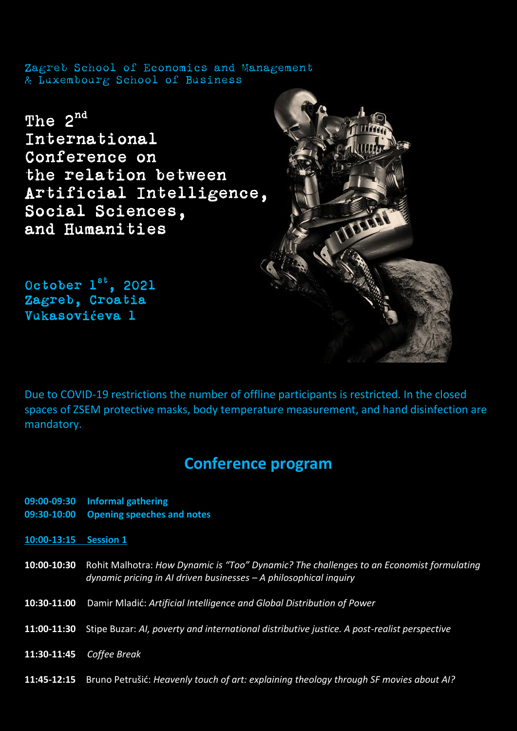Zagreb School of Economics and Management & Luxembourg School of Business

The 2<sup>nd</sup> International Conference on the relation between Artificial Intelligence, Social Sciences, and Humanities

October  $1^{st}$ , 2021 Zagreb, Croatia Vukasovi**ć**eva 1

Due to COVID-19 restrictions the number of offline participants is restricted. In the closed spaces of ZSEM protective masks, body temperature measurement, and hand disinfection are mandatory.

## **Conference program**

- **09:00-09:30 Informal gathering**
- **09:30-10:00 Opening speeches and notes**

**10:00-13:15 Session 1** 

- **10:00-10:30** Rohit Malhotra: *How Dynamic is "Too" Dynamic? The challenges to an Economist formulating dynamic pricing in AI driven businesses – A philosophical inquiry*
- **10:30-11:00** Damir Mladić: *Artificial Intelligence and Global Distribution of Power*
- **11:00-11:30** Stipe Buzar: *AI, poverty and international distributive justice. A post-realist perspective*
- **11:30-11:45** *Coffee Break*
- **11:45-12:15** Bruno Petrušić: *Heavenly touch of art: explaining theology through SF movies about AI?*